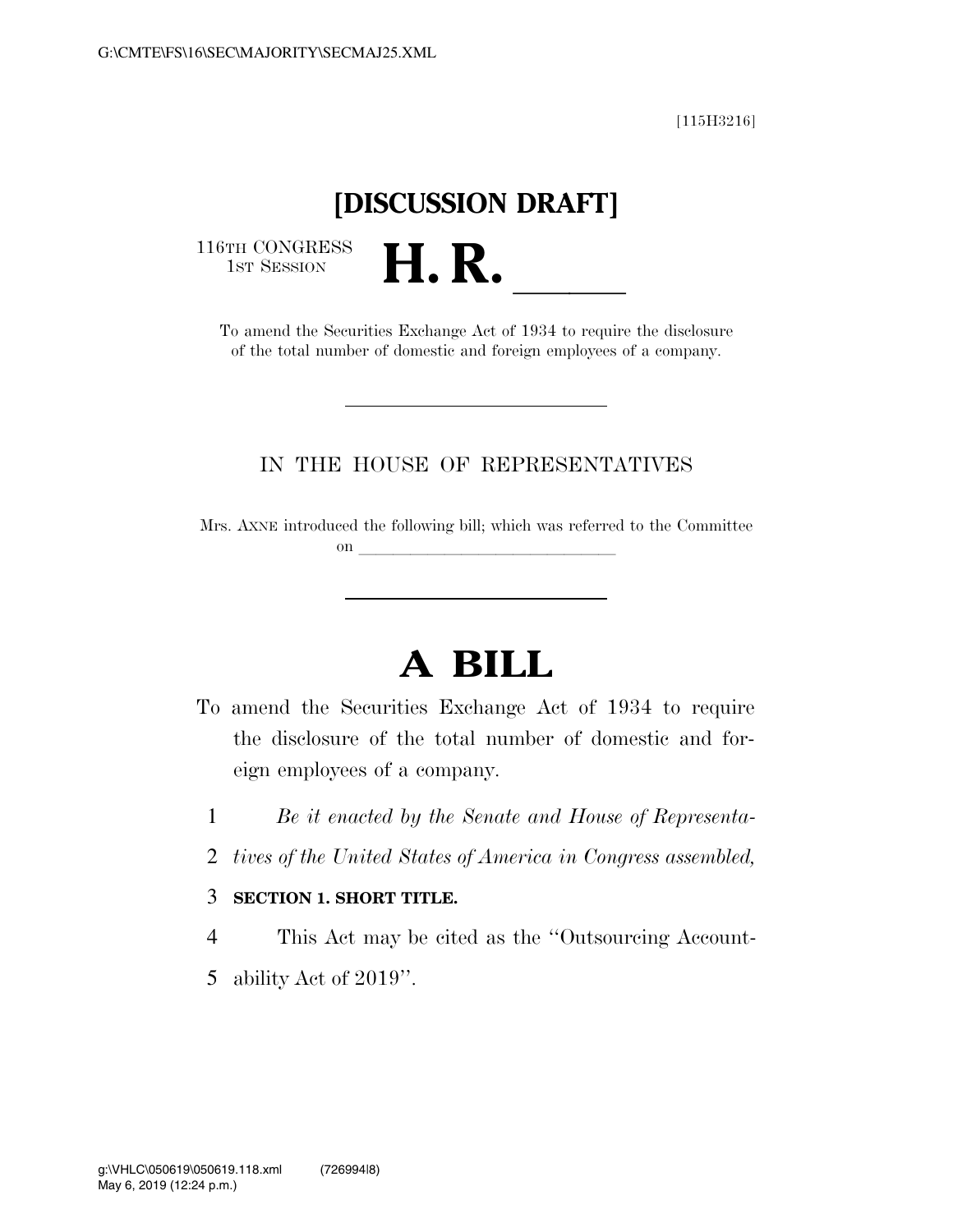[115H3216]

## **[DISCUSSION DRAFT]**

116TH CONGRESS<br>1st Session

TH CONGRESS<br>
1st SESSION<br>
To amend the Securities Exchange Act of 1934 to require the disclosure of the total number of domestic and foreign employees of a company.

### IN THE HOUSE OF REPRESENTATIVES

Mrs. AXNE introduced the following bill; which was referred to the Committee on  $\qquad \qquad$ 

# **A BILL**

- To amend the Securities Exchange Act of 1934 to require the disclosure of the total number of domestic and foreign employees of a company.
	- 1 *Be it enacted by the Senate and House of Representa-*
	- 2 *tives of the United States of America in Congress assembled,*

#### 3 **SECTION 1. SHORT TITLE.**

- 4 This Act may be cited as the ''Outsourcing Account-
- 5 ability Act of 2019''.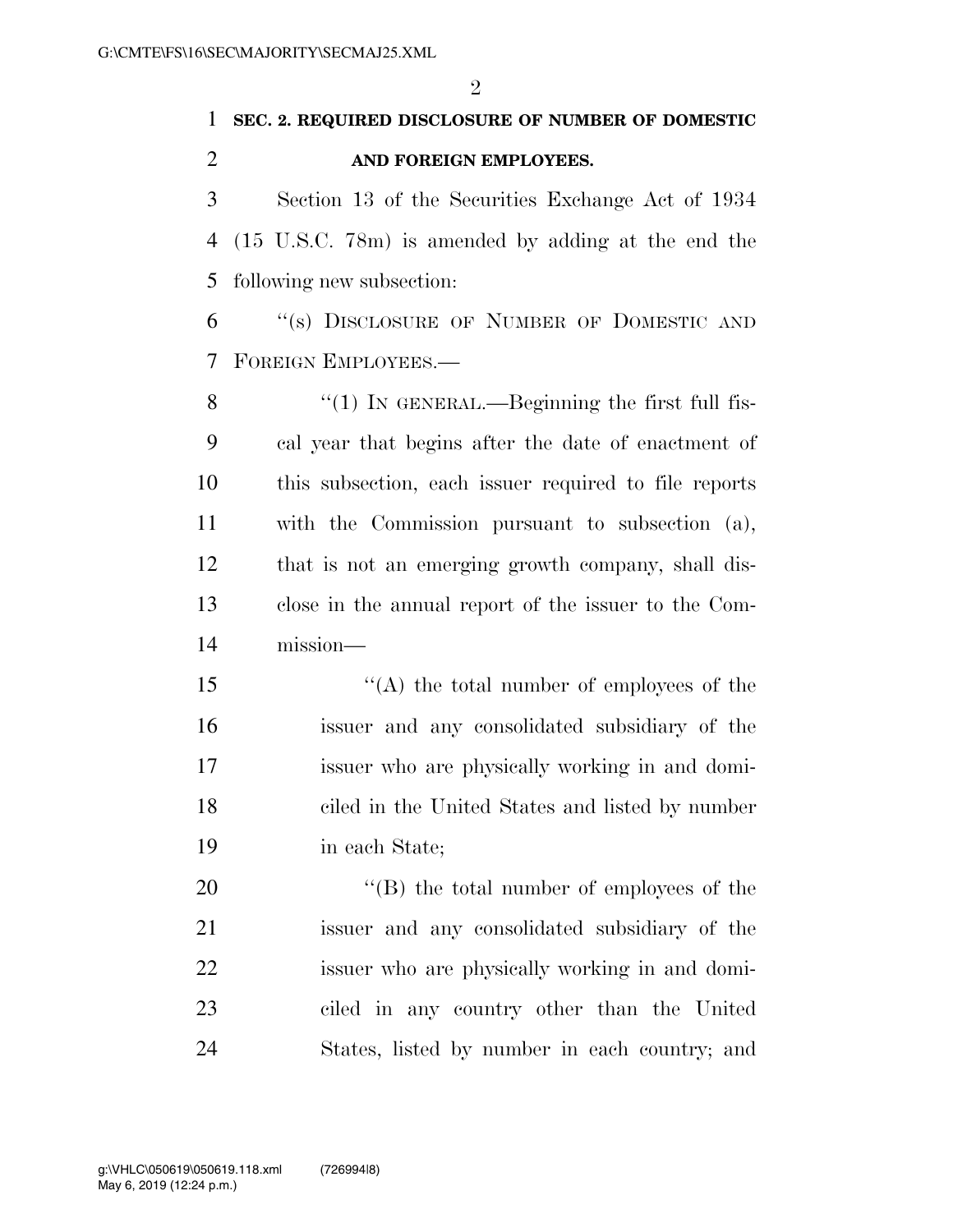### **SEC. 2. REQUIRED DISCLOSURE OF NUMBER OF DOMESTIC AND FOREIGN EMPLOYEES.**

 Section 13 of the Securities Exchange Act of 1934 (15 U.S.C. 78m) is amended by adding at the end the following new subsection:

 ''(s) DISCLOSURE OF NUMBER OF DOMESTIC AND FOREIGN EMPLOYEES.—

8 "(1) In GENERAL.—Beginning the first full fis- cal year that begins after the date of enactment of this subsection, each issuer required to file reports with the Commission pursuant to subsection (a), that is not an emerging growth company, shall dis- close in the annual report of the issuer to the Com-mission—

 ''(A) the total number of employees of the issuer and any consolidated subsidiary of the issuer who are physically working in and domi- ciled in the United States and listed by number in each State;

 $\langle$  (B) the total number of employees of the issuer and any consolidated subsidiary of the issuer who are physically working in and domi- ciled in any country other than the United States, listed by number in each country; and